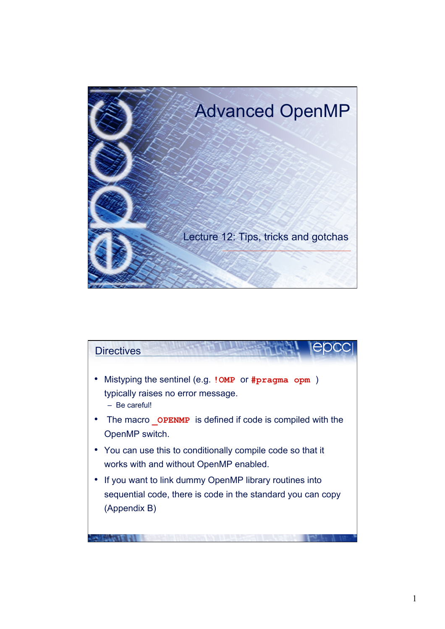

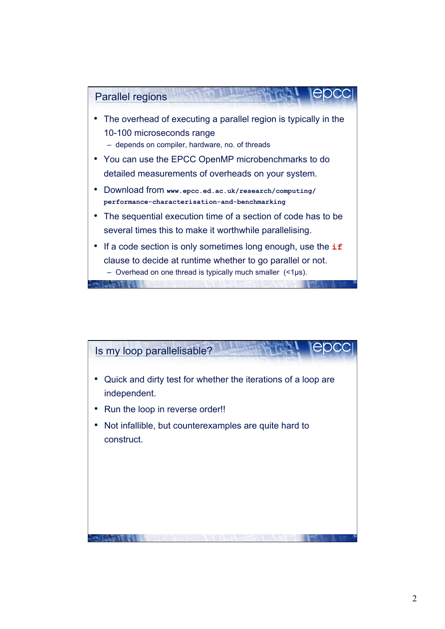

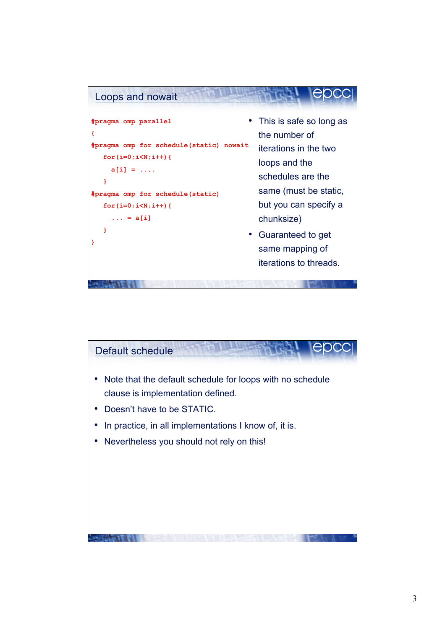

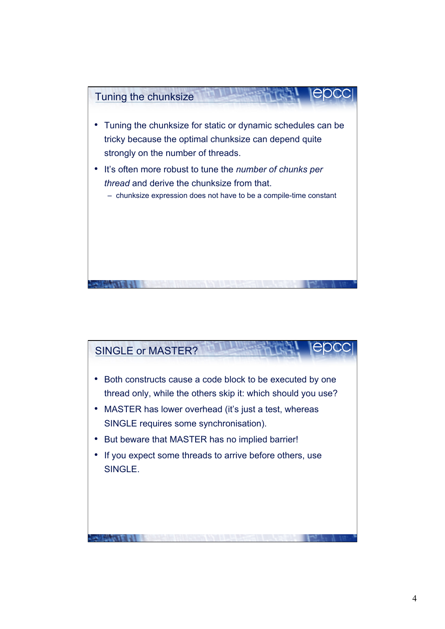

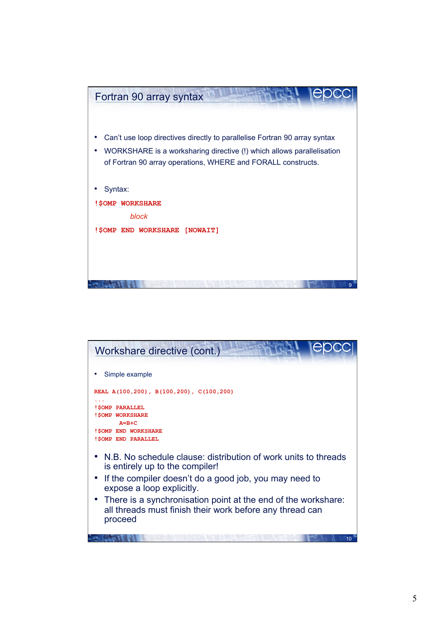

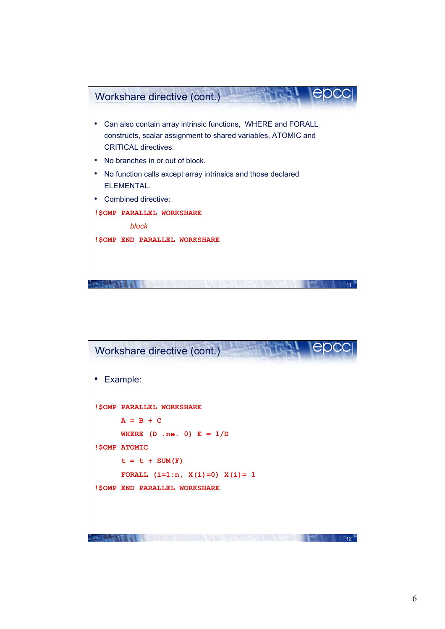

| Workshare directive (cont.)       |    |
|-----------------------------------|----|
| Example:                          |    |
| ! \$OMP PARALLEL WORKSHARE        |    |
| $A = B + C$                       |    |
| WHERE $(D \tneq ne. 0)$ $E = 1/D$ |    |
| !\$OMP ATOMIC                     |    |
| $t = t + SUM(F)$                  |    |
| FORALL $(i=1:n, X(i)=0) X(i)=1$   |    |
| ! \$OMP END PARALLEL WORKSHARE    |    |
|                                   |    |
|                                   |    |
|                                   | 12 |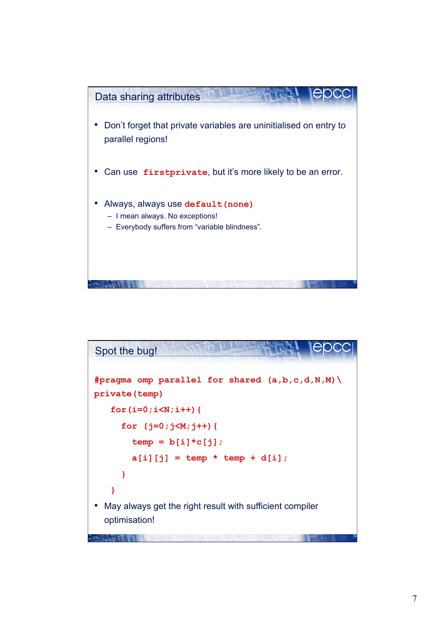

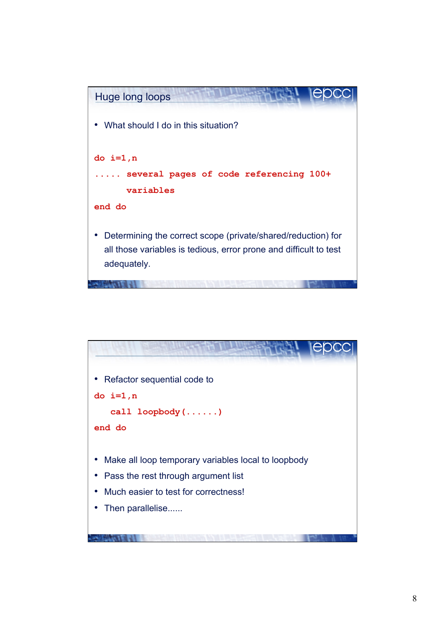

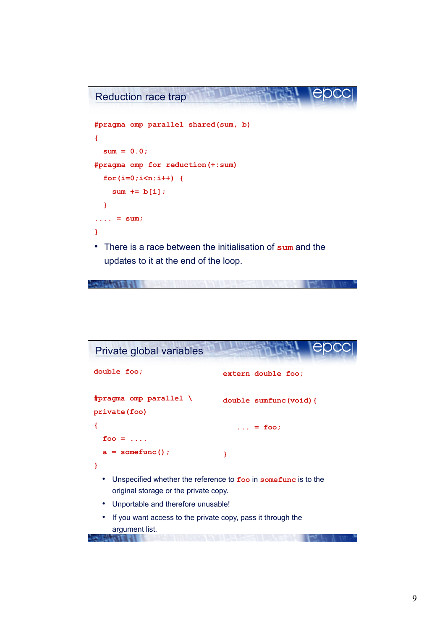

| Private global variables                                                                                |                       |  |
|---------------------------------------------------------------------------------------------------------|-----------------------|--|
| double foo;                                                                                             | extern double foo;    |  |
| #pragma omp parallel \<br>private (foo)                                                                 | double sumfunc(void){ |  |
|                                                                                                         | $\ldots$ = foo;       |  |
| foo = $\dots$                                                                                           |                       |  |
| $a =$ somefunc();                                                                                       |                       |  |
|                                                                                                         |                       |  |
| Unspecified whether the reference to foo in somefunc is to the<br>original storage or the private copy. |                       |  |
| Unportable and therefore unusable!                                                                      |                       |  |
| If you want access to the private copy, pass it through the<br>argument list.                           |                       |  |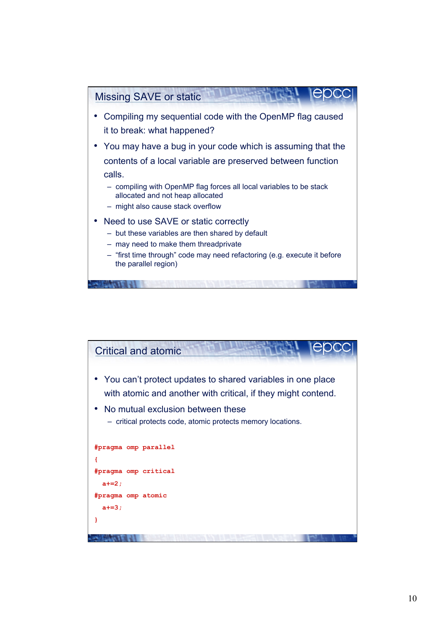

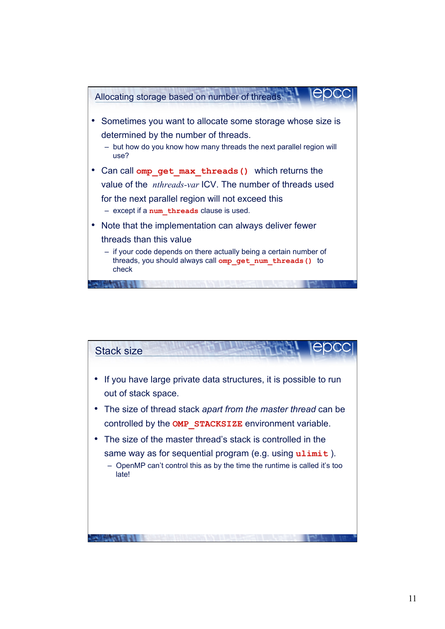

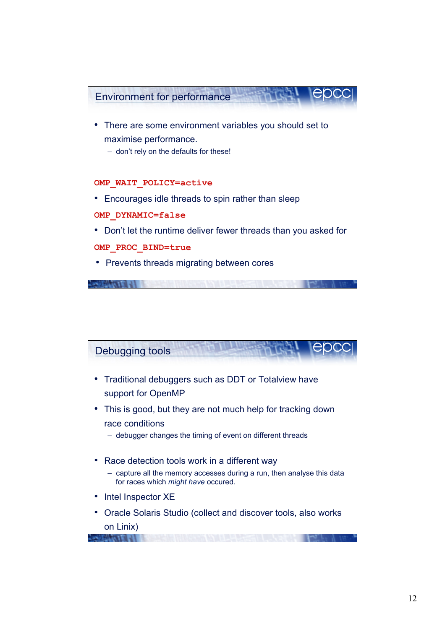